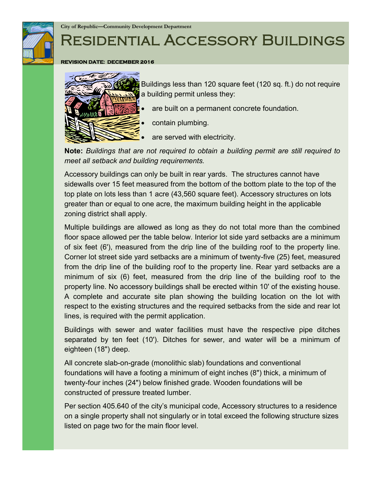

**City of Republic—Community Development Department**

# Residential Accessory Buildings

#### **REVISION DATE: DECEMBER 2016**



Buildings less than 120 square feet (120 sq. ft.) do not require a building permit unless they:

- are built on a permanent concrete foundation.
- contain plumbing.
- are served with electricity.

**Note:** *Buildings that are not required to obtain a building permit are still required to meet all setback and building requirements.*

Accessory buildings can only be built in rear yards. The structures cannot have sidewalls over 15 feet measured from the bottom of the bottom plate to the top of the top plate on lots less than 1 acre (43,560 square feet). Accessory structures on lots greater than or equal to one acre, the maximum building height in the applicable zoning district shall apply.

Multiple buildings are allowed as long as they do not total more than the combined floor space allowed per the table below. Interior lot side yard setbacks are a minimum of six feet (6'), measured from the drip line of the building roof to the property line. Corner lot street side yard setbacks are a minimum of twenty-five (25) feet, measured from the drip line of the building roof to the property line. Rear yard setbacks are a minimum of six (6) feet, measured from the drip line of the building roof to the property line. No accessory buildings shall be erected within 10' of the existing house. A complete and accurate site plan showing the building location on the lot with respect to the existing structures and the required setbacks from the side and rear lot lines, is required with the permit application.

Buildings with sewer and water facilities must have the respective pipe ditches separated by ten feet (10'). Ditches for sewer, and water will be a minimum of eighteen (18") deep.

All concrete slab-on-grade (monolithic slab) foundations and conventional foundations will have a footing a minimum of eight inches (8") thick, a minimum of twenty-four inches (24") below finished grade. Wooden foundations will be constructed of pressure treated lumber.

Per section 405.640 of the city's municipal code, Accessory structures to a residence on a single property shall not singularly or in total exceed the following structure sizes listed on page two for the main floor level.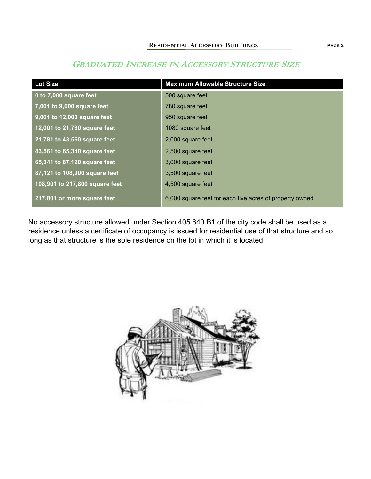# **Lot Size Maximum Allowable Structure Size 0 to 7,000 square feet** 500 square feet **7,001 to 9,000 square feet** 780 square feet **9,001 to 12,000 square feet** 950 square feet **12,001 to 21,780 square feet** 1080 square feet **21,781 to 43,560 square feet** 2,000 square feet **43,561 to 65,340 square feet** 2,500 square feet **65,341 to 87,120 square feet** 3,000 square feet **87,121 to 108,900 square feet** 3,500 square feet **108,901 to 217,800 square feet** 4,500 square feet **217,801 or more square feet** 6,000 square feet for each five acres of property owned

## **GRADUATED INCREASE IN ACCESSORY STRUCTURE SIZE**

No accessory structure allowed under Section 405.640 B1 of the city code shall be used as a residence unless a certificate of occupancy is issued for residential use of that structure and so long as that structure is the sole residence on the lot in which it is located.

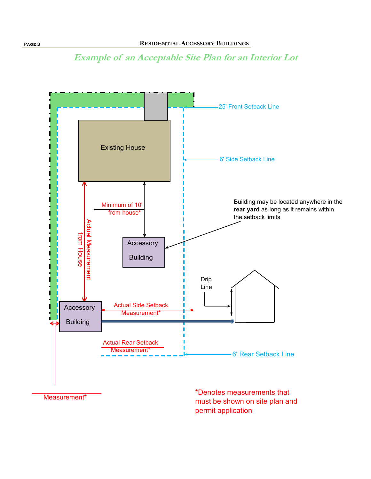



must be shown on site plan and permit application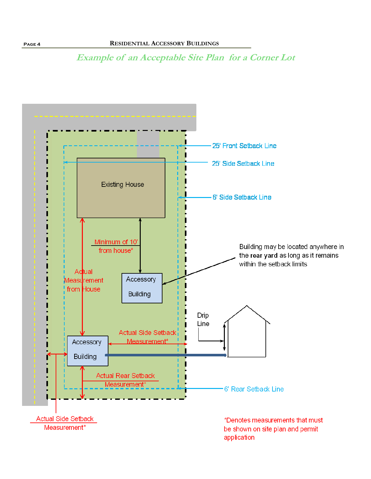**Example of an Acceptable Site Plan for a Corner Lot**